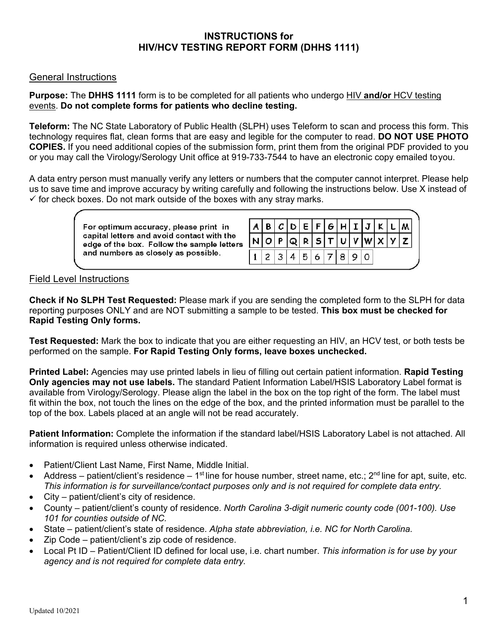# **INSTRUCTIONS for HIV/HCV TESTING REPORT FORM (DHHS 1111)**

### General Instructions

#### **Purpose:** The **DHHS 1111** form is to be completed for all patients who undergo HIV **and/or** HCV testing events. **Do not complete forms for patients who decline testing.**

**Teleform:** The NC State Laboratory of Public Health (SLPH) uses Teleform to scan and process this form. This technology requires flat, clean forms that are easy and legible for the computer to read. **DO NOT USE PHOTO COPIES.** If you need additional copies of the submission form, print them from the original PDF provided to you or you may call the Virology/Serology Unit office at 919-733-7544 to have an electronic copy emailed to you.

A data entry person must manually verify any letters or numbers that the computer cannot interpret. Please help us to save time and improve accuracy by writing carefully and following the instructions below. Use X instead of  $\checkmark$  for check boxes. Do not mark outside of the boxes with any stray marks.

> For optimum accuracy, please print in capital letters and avoid contact with the edge of the box. Follow the sample letters and numbers as closely as possible.

|  | A B C D E F G H I J K L M |  |            |  |  |  |
|--|---------------------------|--|------------|--|--|--|
|  | N O P Q R S T U V W X Y Z |  |            |  |  |  |
|  |                           |  | 1234567890 |  |  |  |

### Field Level Instructions

**Check if No SLPH Test Requested:** Please mark if you are sending the completed form to the SLPH for data reporting purposes ONLY and are NOT submitting a sample to be tested. **This box must be checked for Rapid Testing Only forms.**

**Test Requested:** Mark the box to indicate that you are either requesting an HIV, an HCV test, or both tests be performed on the sample. **For Rapid Testing Only forms, leave boxes unchecked.**

**Printed Label:** Agencies may use printed labels in lieu of filling out certain patient information. **Rapid Testing Only agencies may not use labels.** The standard Patient Information Label/HSIS Laboratory Label format is available from Virology/Serology. Please align the label in the box on the top right of the form. The label must fit within the box, not touch the lines on the edge of the box, and the printed information must be parallel to the top of the box. Labels placed at an angle will not be read accurately.

**Patient Information:** Complete the information if the standard label/HSIS Laboratory Label is not attached. All information is required unless otherwise indicated.

- Patient/Client Last Name, First Name, Middle Initial.
- Address patient/client's residence 1<sup>st</sup> line for house number, street name, etc.;  $2^{nd}$  line for apt, suite, etc. *This information is for surveillance/contact purposes only and is not required for complete data entry.*
- City patient/client's city of residence.
- County patient/client's county of residence. *North Carolina 3-digit numeric county code (001-100). Use 101 for counties outside of NC.*
- State patient/client's state of residence. *Alpha state abbreviation, i.e. NC for North Carolina.*
- Zip Code patient/client's zip code of residence.
- Local Pt ID Patient/Client ID defined for local use, i.e. chart number. *This information is for use by your agency and is not required for complete data entry.*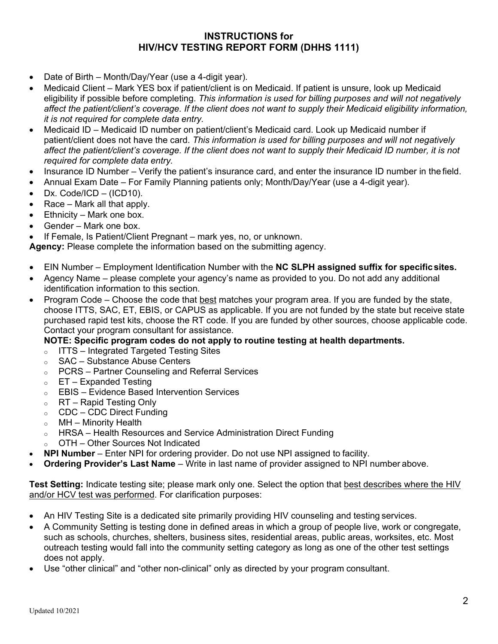# **INSTRUCTIONS for HIV/HCV TESTING REPORT FORM (DHHS 1111)**

- Date of Birth Month/Day/Year (use a 4-digit year).
- Medicaid Client Mark YES box if patient/client is on Medicaid. If patient is unsure, look up Medicaid eligibility if possible before completing. *This information is used for billing purposes and will not negatively affect the patient/client's coverage. If the client does not want to supply their Medicaid eligibility information, it is not required for complete data entry.*
- Medicaid ID Medicaid ID number on patient/client's Medicaid card. Look up Medicaid number if patient/client does not have the card. *This information is used for billing purposes and will not negatively affect the patient/client's coverage. If the client does not want to supply their Medicaid ID number, it is not required for complete data entry.*
- Insurance ID Number Verify the patient's insurance card, and enter the insurance ID number in the field.
- Annual Exam Date For Family Planning patients only; Month/Day/Year (use a 4-digit year).
- $\bullet$  Dx. Code/ICD (ICD10).
- Race Mark all that apply.
- Ethnicity Mark one box.
- Gender Mark one box.
- If Female, Is Patient/Client Pregnant mark yes, no, or unknown.

**Agency:** Please complete the information based on the submitting agency.

- EIN Number Employment Identification Number with the **NC SLPH assigned suffix for specific sites.**
- Agency Name please complete your agency's name as provided to you. Do not add any additional identification information to this section.
- Program Code Choose the code that best matches your program area. If you are funded by the state, choose ITTS, SAC, ET, EBIS, or CAPUS as applicable. If you are not funded by the state but receive state purchased rapid test kits, choose the RT code. If you are funded by other sources, choose applicable code. Contact your program consultant for assistance.

### **NOTE: Specific program codes do not apply to routine testing at health departments.**

- o ITTS Integrated Targeted Testing Sites
- o SAC Substance Abuse Centers
- o PCRS Partner Counseling and Referral Services
- $\circ$  ET Expanded Testing
- o EBIS Evidence Based Intervention Services
- o RT Rapid Testing Only
- o CDC CDC Direct Funding
- $\circ$  MH Minority Health
- o HRSA Health Resources and Service Administration Direct Funding
- o OTH Other Sources Not Indicated
- **NPI Number**  Enter NPI for ordering provider. Do not use NPI assigned to facility.
- **Ordering Provider's Last Name**  Write in last name of provider assigned to NPI number above.

**Test Setting:** Indicate testing site; please mark only one. Select the option that best describes where the HIV and/or HCV test was performed. For clarification purposes:

- An HIV Testing Site is a dedicated site primarily providing HIV counseling and testing services.
- A Community Setting is testing done in defined areas in which a group of people live, work or congregate, such as schools, churches, shelters, business sites, residential areas, public areas, worksites, etc. Most outreach testing would fall into the community setting category as long as one of the other test settings does not apply.
- Use "other clinical" and "other non-clinical" only as directed by your program consultant.